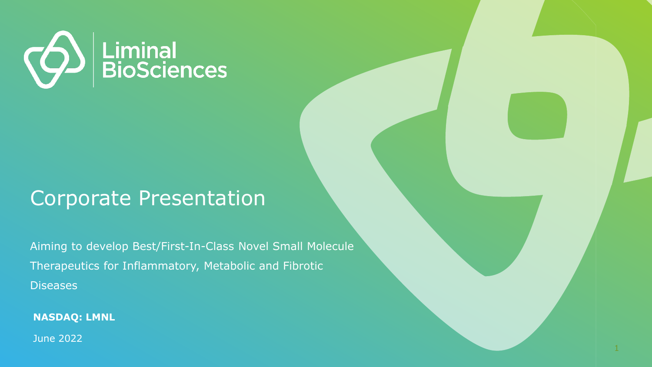

#### Corporate Presentation

Aiming to develop Best/First-In-Class Novel Small Molecule Therapeutics for Inflammatory, Metabolic and Fibrotic **Diseases** 

**NASDAQ: LMNL**

June 2022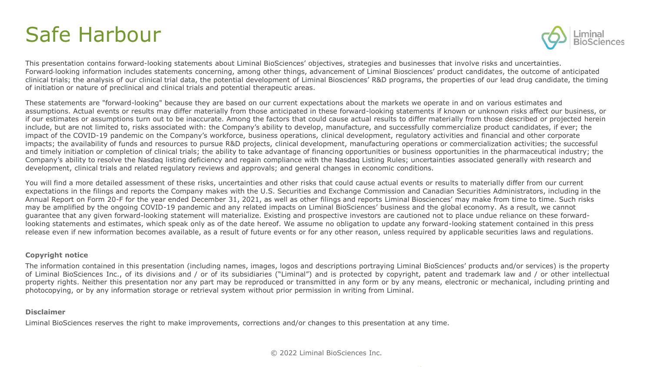### Safe Harbour



This presentation contains forward-looking statements about Liminal BioSciences' objectives, strategies and businesses that involve risks and uncertainties. Forward-looking information includes statements concerning, among other things, advancement of Liminal Biosciences' product candidates, the outcome of anticipated clinical trials; the analysis of our clinical trial data, the potential development of Liminal Biosciences' R&D programs, the properties of our lead drug candidate, the timing of initiation or nature of preclinical and clinical trials and potential therapeutic areas.

These statements are "forward-looking" because they are based on our current expectations about the markets we operate in and on various estimates and assumptions. Actual events or results may differ materially from those anticipated in these forward-looking statements if known or unknown risks affect our business, or if our estimates or assumptions turn out to be inaccurate. Among the factors that could cause actual results to differ materially from those described or projected herein include, but are not limited to, risks associated with: the Company's ability to develop, manufacture, and successfully commercialize product candidates, if ever; the impact of the COVID-19 pandemic on the Company's workforce, business operations, clinical development, regulatory activities and financial and other corporate impacts; the availability of funds and resources to pursue R&D projects, clinical development, manufacturing operations or commercialization activities; the successful and timely initiation or completion of clinical trials; the ability to take advantage of financing opportunities or business opportunities in the pharmaceutical industry; the Company's ability to resolve the Nasdaq listing deficiency and regain compliance with the Nasdaq Listing Rules; uncertainties associated generally with research and development, clinical trials and related regulatory reviews and approvals; and general changes in economic conditions.

You will find a more detailed assessment of these risks, uncertainties and other risks that could cause actual events or results to materially differ from our current expectations in the filings and reports the Company makes with the U.S. Securities and Exchange Commission and Canadian Securities Administrators, including in the Annual Report on Form 20-F for the year ended December 31, 2021, as well as other filings and reports Liminal Biosciences' may make from time to time. Such risks may be amplified by the ongoing COVID-19 pandemic and any related impacts on Liminal BioSciences' business and the global economy. As a result, we cannot guarantee that any given forward-looking statement will materialize. Existing and prospective investors are cautioned not to place undue reliance on these forwardlooking statements and estimates, which speak only as of the date hereof. We assume no obligation to update any forward-looking statement contained in this press release even if new information becomes available, as a result of future events or for any other reason, unless required by applicable securities laws and regulations.

#### **Copyright notice**

The information contained in this presentation (including names, images, logos and descriptions portraying Liminal BioSciences' products and/or services) is the property of Liminal BioSciences Inc., of its divisions and / or of its subsidiaries ("Liminal") and is protected by copyright, patent and trademark law and / or other intellectual property rights. Neither this presentation nor any part may be reproduced or transmitted in any form or by any means, electronic or mechanical, including printing and photocopying, or by any information storage or retrieval system without prior permission in writing from Liminal.

#### **Disclaimer**

Liminal BioSciences reserves the right to make improvements, corrections and/or changes to this presentation at any time.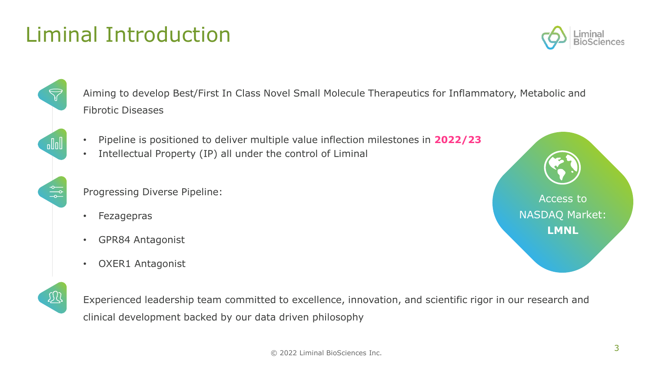#### © 2022 Liminal BioSciences Inc.

# Liminal Introduction

Aiming to develop Best/First In Class Novel Small Molecule Therapeutics for Inflammatory, Metabolic and Fibrotic Diseases

- Pipeline is positioned to deliver multiple value inflection milestones in **2022/23**
- Intellectual Property (IP) all under the control of Liminal

Progressing Diverse Pipeline:

• Fezagepras

 $\sqrt{d}$ 

 $\frac{\circ}{\circ}$ 

观

- GPR84 Antagonist
- OXER1 Antagonist

Experienced leadership team committed to excellence, innovation, and scientific rigor in our research and clinical development backed by our data driven philosophy



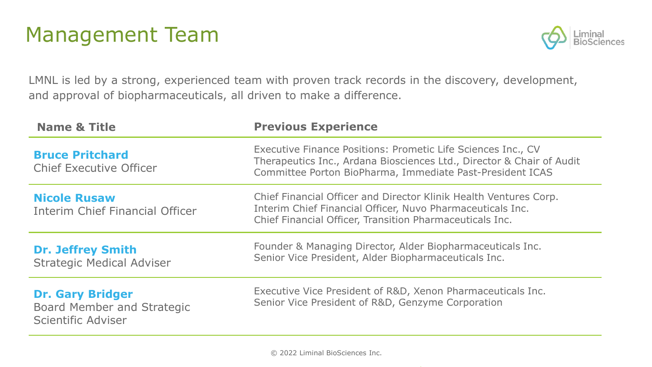### Management Team



LMNL is led by a strong, experienced team with proven track records in the discovery, development, and approval of biopharmaceuticals, all driven to make a difference.

| <b>Name &amp; Title</b>                                                            | <b>Previous Experience</b>                                                                                                                                                                         |
|------------------------------------------------------------------------------------|----------------------------------------------------------------------------------------------------------------------------------------------------------------------------------------------------|
| <b>Bruce Pritchard</b><br><b>Chief Executive Officer</b>                           | Executive Finance Positions: Prometic Life Sciences Inc., CV<br>Therapeutics Inc., Ardana Biosciences Ltd., Director & Chair of Audit<br>Committee Porton BioPharma, Immediate Past-President ICAS |
| <b>Nicole Rusaw</b><br>Interim Chief Financial Officer                             | Chief Financial Officer and Director Klinik Health Ventures Corp.<br>Interim Chief Financial Officer, Nuvo Pharmaceuticals Inc.<br>Chief Financial Officer, Transition Pharmaceuticals Inc.        |
| <b>Dr. Jeffrey Smith</b><br><b>Strategic Medical Adviser</b>                       | Founder & Managing Director, Alder Biopharmaceuticals Inc.<br>Senior Vice President, Alder Biopharmaceuticals Inc.                                                                                 |
| <b>Dr. Gary Bridger</b><br><b>Board Member and Strategic</b><br>Scientific Adviser | Executive Vice President of R&D, Xenon Pharmaceuticals Inc.<br>Senior Vice President of R&D, Genzyme Corporation                                                                                   |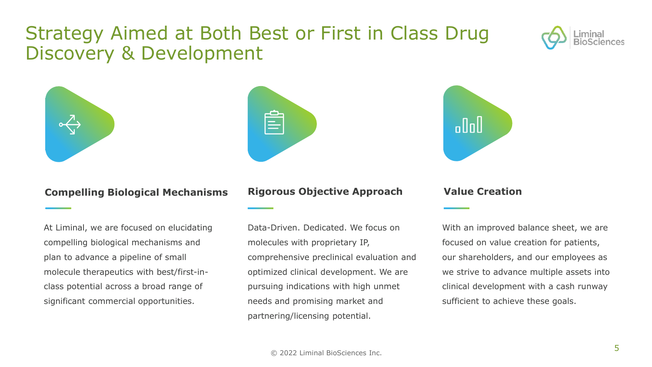#### Strategy Aimed at Both Best or First in Class Drug Discovery & Development







#### **Compelling Biological Mechanisms**

At Liminal, we are focused on elucidating compelling biological mechanisms and plan to advance a pipeline of small molecule therapeutics with best/first-inclass potential across a broad range of significant commercial opportunities.

#### **Rigorous Objective Approach**

Data-Driven. Dedicated. We focus on molecules with proprietary IP, comprehensive preclinical evaluation and optimized clinical development. We are pursuing indications with high unmet needs and promising market and partnering/licensing potential.

#### **Value Creation**

With an improved balance sheet, we are focused on value creation for patients, our shareholders, and our employees as we strive to advance multiple assets into clinical development with a cash runway sufficient to achieve these goals.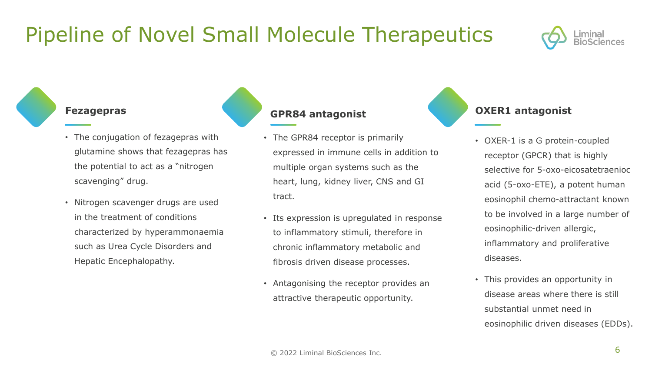### Pipeline of Novel Small Molecule Therapeutics

#### **Fezagepras**

- The conjugation of fezagepras with glutamine shows that fezagepras has the potential to act as a "nitrogen scavenging" drug.
- Nitrogen scavenger drugs are used in the treatment of conditions characterized by hyperammonaemia such as Urea Cycle Disorders and Hepatic Encephalopathy.

#### **GPR84 antagonist**

- The GPR84 receptor is primarily expressed in immune cells in addition to multiple organ systems such as the heart, lung, kidney liver, CNS and GI tract.
- Its expression is upregulated in response to inflammatory stimuli, therefore in chronic inflammatory metabolic and fibrosis driven disease processes.
- Antagonising the receptor provides an attractive therapeutic opportunity.

#### **OXER1 antagonist**

- OXER-1 is a G protein-coupled receptor (GPCR) that is highly selective for 5-oxo-eicosatetraenioc acid (5-oxo-ETE), a potent human eosinophil chemo-attractant known to be involved in a large number of eosinophilic-driven allergic, inflammatory and proliferative diseases.
- This provides an opportunity in disease areas where there is still substantial unmet need in eosinophilic driven diseases (EDDs).

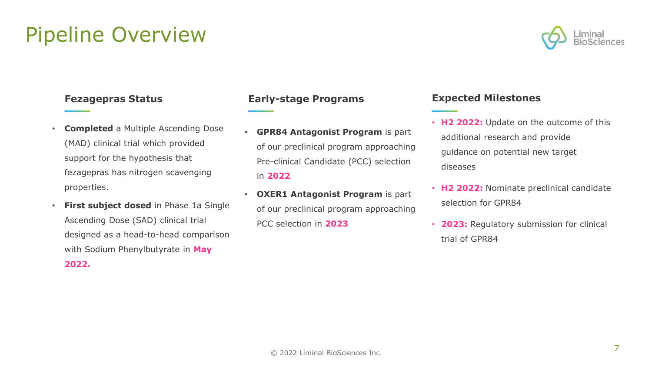• **Completed** a Multiple Ascending Dose (MAD) clinical trial which provided support for the hypothesis that fezagepras has nitrogen scavenging properties.

Pipeline Overview

• **First subject dosed** in Phase 1a Single Ascending Dose (SAD) clinical trial designed as a head-to-head comparison with Sodium Phenylbutyrate in **May 2022.**

#### **Fezagepras Status Early-stage Programs**

- **GPR84 Antagonist Program** is part of our preclinical program approaching Pre-clinical Candidate (PCC) selection in **2022**
- **OXER1 Antagonist Program** is part of our preclinical program approaching PCC selection in **2023**

#### **Expected Milestones**

- **H2 2022:** Update on the outcome of this additional research and provide guidance on potential new target diseases
- **H2 2022:** Nominate preclinical candidate selection for GPR84
- **2023:** Regulatory submission for clinical trial of GPR84

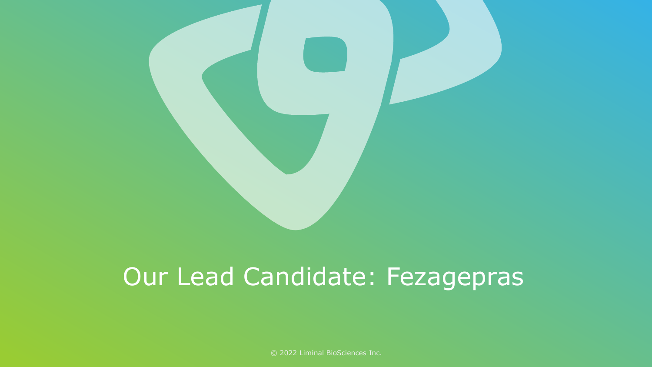

# Our Lead Candidate: Fezagepras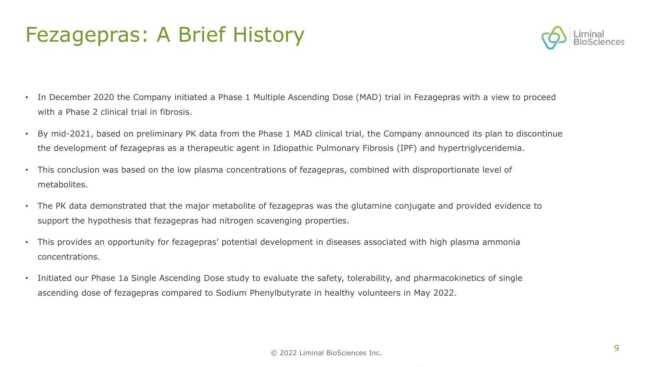### Fezagepras: A Brief History



- In December 2020 the Company initiated a Phase 1 Multiple Ascending Dose (MAD) trial in Fezagepras with a view to proceed with a Phase 2 clinical trial in fibrosis.
- By mid-2021, based on preliminary PK data from the Phase 1 MAD clinical trial, the Company announced its plan to discontinue the development of fezagepras as a therapeutic agent in Idiopathic Pulmonary Fibrosis (IPF) and hypertriglyceridemia.
- This conclusion was based on the low plasma concentrations of fezagepras, combined with disproportionate level of metabolites.
- The PK data demonstrated that the major metabolite of fezagepras was the glutamine conjugate and provided evidence to support the hypothesis that fezagepras had nitrogen scavenging properties.
- This provides an opportunity for fezagepras' potential development in diseases associated with high plasma ammonia concentrations.
- Initiated our Phase 1a Single Ascending Dose study to evaluate the safety, tolerability, and pharmacokinetics of single ascending dose of fezagepras compared to Sodium Phenylbutyrate in healthy volunteers in May 2022.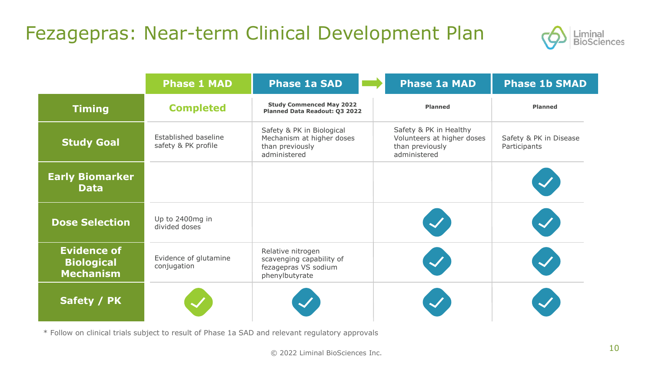#### Fezagepras: Near-term Clinical Development Plan



|                                                             | <b>Phase 1 MAD</b>                          | <b>Phase 1a SAD</b>                                                                       | <b>Phase 1a MAD</b>                                                                     | <b>Phase 1b SMAD</b>                   |
|-------------------------------------------------------------|---------------------------------------------|-------------------------------------------------------------------------------------------|-----------------------------------------------------------------------------------------|----------------------------------------|
| <b>Timing</b>                                               | <b>Completed</b>                            | <b>Study Commenced May 2022</b><br>Planned Data Readout: Q3 2022                          | <b>Planned</b>                                                                          | <b>Planned</b>                         |
| <b>Study Goal</b>                                           | Established baseline<br>safety & PK profile | Safety & PK in Biological<br>Mechanism at higher doses<br>than previously<br>administered | Safety & PK in Healthy<br>Volunteers at higher doses<br>than previously<br>administered | Safety & PK in Disease<br>Participants |
| <b>Early Biomarker</b><br><b>Data</b>                       |                                             |                                                                                           |                                                                                         |                                        |
| <b>Dose Selection</b>                                       | Up to 2400mg in<br>divided doses            |                                                                                           |                                                                                         |                                        |
| <b>Evidence of</b><br><b>Biological</b><br><b>Mechanism</b> | Evidence of glutamine<br>conjugation        | Relative nitrogen<br>scavenging capability of<br>fezagepras VS sodium<br>phenylbutyrate   |                                                                                         |                                        |
| Safety / PK                                                 |                                             |                                                                                           |                                                                                         |                                        |

\* Follow on clinical trials subject to result of Phase 1a SAD and relevant regulatory approvals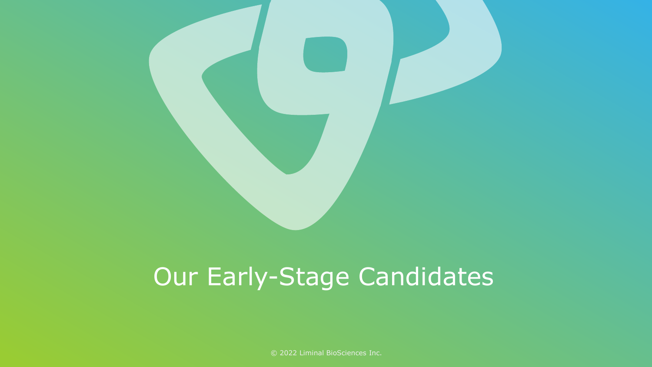

# Our Early-Stage Candidates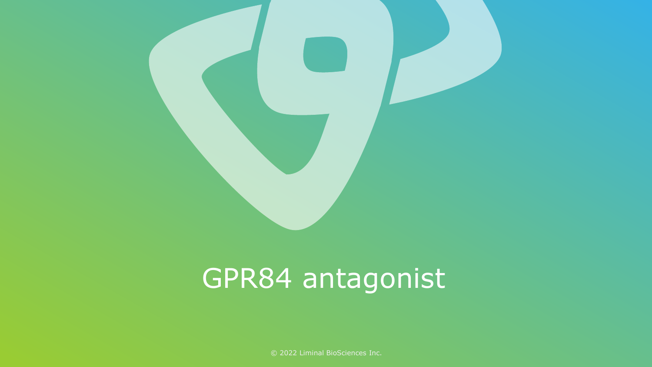

# GPR84 antagonist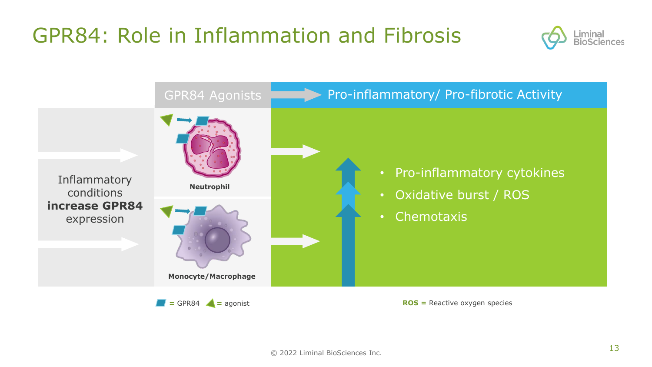### GPR84: Role in Inflammation and Fibrosis



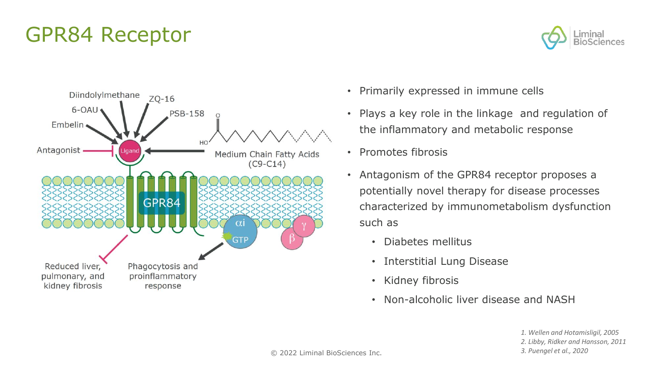### GPR84 Receptor



- Primarily expressed in immune cells
- Plays a key role in the linkage and regulation of the inflammatory and metabolic response
- Promotes fibrosis
- Antagonism of the GPR84 receptor proposes a potentially novel therapy for disease processes characterized by immunometabolism dysfunction such as
	- Diabetes mellitus
	- Interstitial Lung Disease
	- Kidney fibrosis
	- Non-alcoholic liver disease and NASH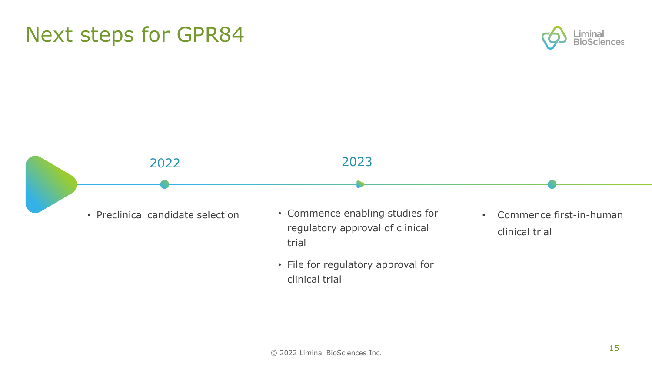#### © 2022 Liminal BioSciences Inc.

#### Next steps for GPR84

## 2023 2022

- Preclinical candidate selection
- Commence enabling studies for regulatory approval of clinical trial
- File for regulatory approval for clinical trial

• Commence first-in-human clinical trial

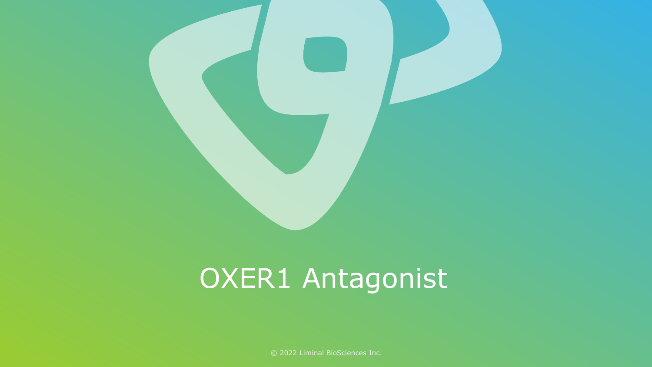

# OXER1 Antagonist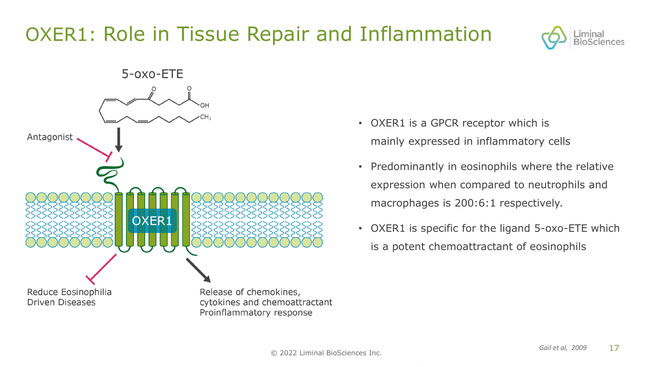### OXER1: Role in Tissue Repair and Inflammation





- OXER1 is a GPCR receptor which is mainly expressed in inflammatory cells
- Predominantly in eosinophils where the relative expression when compared to neutrophils and macrophages is 200:6:1 respectively.
- OXER1 is specific for the ligand 5-oxo-ETE which is a potent chemoattractant of eosinophils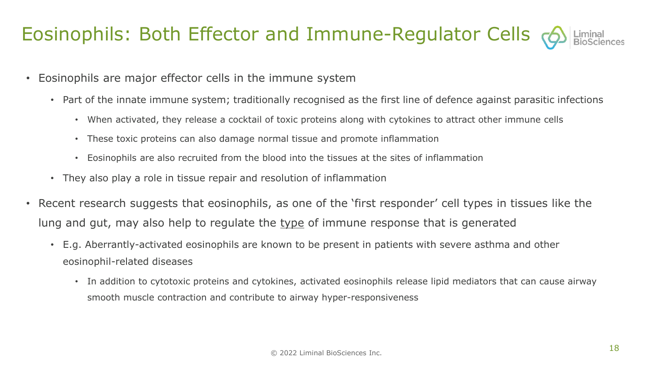### Eosinophils: Both Effector and Immune-Regulator Cells (6)

- Eosinophils are major effector cells in the immune system
	- Part of the innate immune system; traditionally recognised as the first line of defence against parasitic infections
		- When activated, they release a cocktail of toxic proteins along with cytokines to attract other immune cells
		- These toxic proteins can also damage normal tissue and promote inflammation
		- Eosinophils are also recruited from the blood into the tissues at the sites of inflammation
	- They also play a role in tissue repair and resolution of inflammation
- Recent research suggests that eosinophils, as one of the 'first responder' cell types in tissues like the lung and gut, may also help to regulate the type of immune response that is generated
	- E.g. Aberrantly-activated eosinophils are known to be present in patients with severe asthma and other eosinophil-related diseases
		- In addition to cytotoxic proteins and cytokines, activated eosinophils release lipid mediators that can cause airway smooth muscle contraction and contribute to airway hyper-responsiveness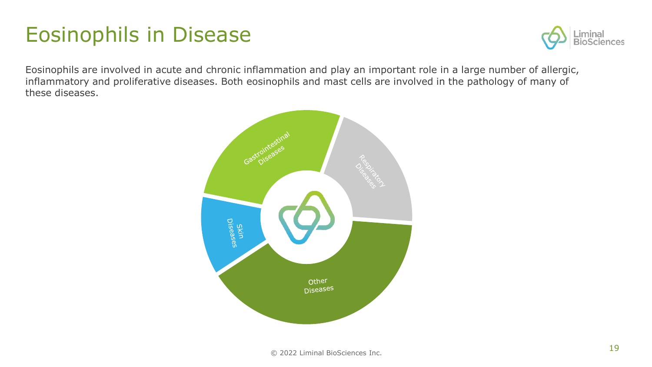### Eosinophils in Disease



Eosinophils are involved in acute and chronic inflammation and play an important role in a large number of allergic, inflammatory and proliferative diseases. Both eosinophils and mast cells are involved in the pathology of many of these diseases.

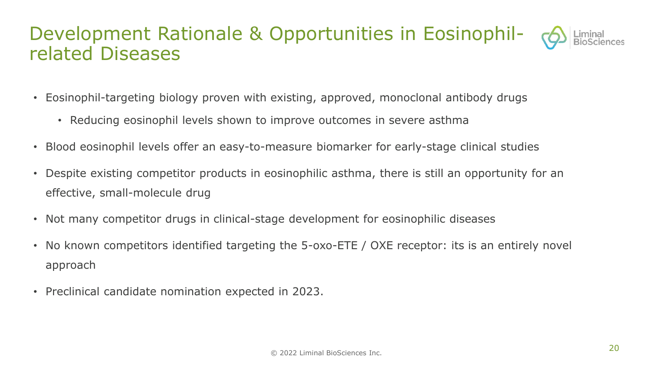#### Development Rationale & Opportunities in Eosinophilrelated Diseases

- Eosinophil-targeting biology proven with existing, approved, monoclonal antibody drugs
	- Reducing eosinophil levels shown to improve outcomes in severe asthma
- Blood eosinophil levels offer an easy-to-measure biomarker for early-stage clinical studies
- Despite existing competitor products in eosinophilic asthma, there is still an opportunity for an effective, small-molecule drug
- Not many competitor drugs in clinical-stage development for eosinophilic diseases
- No known competitors identified targeting the 5-oxo-ETE / OXE receptor: its is an entirely novel approach
- Preclinical candidate nomination expected in 2023.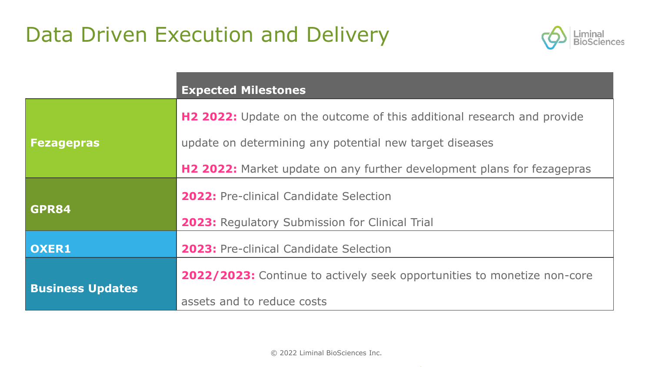### Data Driven Execution and Delivery



|                         | <b>Expected Milestones</b>                                              |  |
|-------------------------|-------------------------------------------------------------------------|--|
|                         | H2 2022: Update on the outcome of this additional research and provide  |  |
| <b>Fezagepras</b>       | update on determining any potential new target diseases                 |  |
|                         | H2 2022: Market update on any further development plans for fezagepras  |  |
|                         | <b>2022: Pre-clinical Candidate Selection</b>                           |  |
| GPR84                   | <b>2023: Regulatory Submission for Clinical Trial</b>                   |  |
| OXER1                   | <b>2023: Pre-clinical Candidate Selection</b>                           |  |
|                         | 2022/2023: Continue to actively seek opportunities to monetize non-core |  |
| <b>Business Updates</b> | assets and to reduce costs                                              |  |